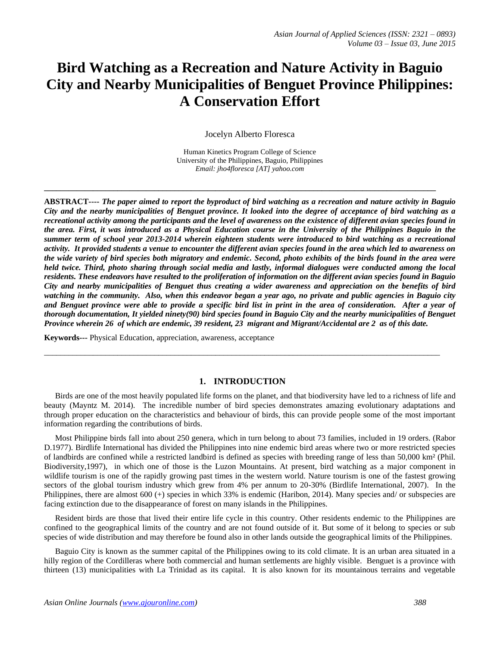# **Bird Watching as a Recreation and Nature Activity in Baguio City and Nearby Municipalities of Benguet Province Philippines: A Conservation Effort**

Jocelyn Alberto Floresca

Human Kinetics Program College of Science University of the Philippines, Baguio, Philippines *Email: jho4floresca [AT] yahoo.com*

**\_\_\_\_\_\_\_\_\_\_\_\_\_\_\_\_\_\_\_\_\_\_\_\_\_\_\_\_\_\_\_\_\_\_\_\_\_\_\_\_\_\_\_\_\_\_\_\_\_\_\_\_\_\_\_\_\_\_\_\_\_\_\_\_\_\_\_\_\_\_\_\_\_\_\_\_\_\_\_\_\_\_\_\_\_\_\_\_\_\_\_\_\_\_\_\_**

**ABSTRACT----** *The paper aimed to report the byproduct of bird watching as a recreation and nature activity in Baguio City and the nearby municipalities of Benguet province. It looked into the degree of acceptance of bird watching as a recreational activity among the participants and the level of awareness on the existence of different avian species found in the area. First, it was introduced as a Physical Education course in the University of the Philippines Baguio in the summer term of school year 2013-2014 wherein eighteen students were introduced to bird watching as a recreational activity. It provided students a venue to encounter the different avian species found in the area which led to awareness on the wide variety of bird species both migratory and endemic. Second, photo exhibits of the birds found in the area were held twice. Third, photo sharing through social media and lastly, informal dialogues were conducted among the local residents. These endeavors have resulted to the proliferation of information on the different avian species found in Baguio City and nearby municipalities of Benguet thus creating a wider awareness and appreciation on the benefits of bird watching in the community. Also, when this endeavor began a year ago, no private and public agencies in Baguio city and Benguet province were able to provide a specific bird list in print in the area of consideration. After a year of thorough documentation, It yielded ninety(90) bird species found in Baguio City and the nearby municipalities of Benguet Province wherein 26 of which are endemic, 39 resident, 23 migrant and Migrant/Accidental are 2 as of this date.*

**Keywords---** Physical Education, appreciation, awareness, acceptance

# **1. INTRODUCTION**

 $\_$  ,  $\_$  ,  $\_$  ,  $\_$  ,  $\_$  ,  $\_$  ,  $\_$  ,  $\_$  ,  $\_$  ,  $\_$  ,  $\_$  ,  $\_$  ,  $\_$  ,  $\_$  ,  $\_$  ,  $\_$  ,  $\_$  ,  $\_$  ,  $\_$  ,  $\_$  ,  $\_$  ,  $\_$  ,  $\_$  ,  $\_$  ,  $\_$  ,  $\_$  ,  $\_$  ,  $\_$  ,  $\_$  ,  $\_$  ,  $\_$  ,  $\_$  ,  $\_$  ,  $\_$  ,  $\_$  ,  $\_$  ,  $\_$  ,

Birds are one of the most heavily populated life forms on the planet, and that biodiversity have led to a richness of life and beauty (Mayntz M. 2014). The incredible number of bird species demonstrates amazing evolutionary adaptations and through proper education on the characteristics and behaviour of birds, this can provide people some of the most important information regarding the contributions of birds.

Most Philippine birds fall into about 250 genera, which in turn belong to about 73 families, included in 19 orders. (Rabor D.1977). Birdlife International has divided the Philippines into nine endemic bird areas where two or more restricted species of landbirds are confined while a restricted landbird is defined as species with breeding range of less than 50,000 km² (Phil. Biodiversity,1997), in which one of those is the Luzon Mountains. At present, bird watching as a major component in wildlife tourism is one of the rapidly growing past times in the western world. Nature tourism is one of the fastest growing sectors of the global tourism industry which grew from 4% per annum to 20-30% (Birdlife International, 2007). In the Philippines, there are almost 600 (+) species in which 33% is endemic (Haribon, 2014). Many species and/ or subspecies are facing extinction due to the disappearance of forest on many islands in the Philippines.

Resident birds are those that lived their entire life cycle in this country. Other residents endemic to the Philippines are confined to the geographical limits of the country and are not found outside of it. But some of it belong to species or sub species of wide distribution and may therefore be found also in other lands outside the geographical limits of the Philippines.

Baguio City is known as the summer capital of the Philippines owing to its cold climate. It is an urban area situated in a hilly region of the Cordilleras where both commercial and human settlements are highly visible. Benguet is a province with thirteen (13) municipalities with La Trinidad as its capital. It is also known for its mountainous terrains and vegetable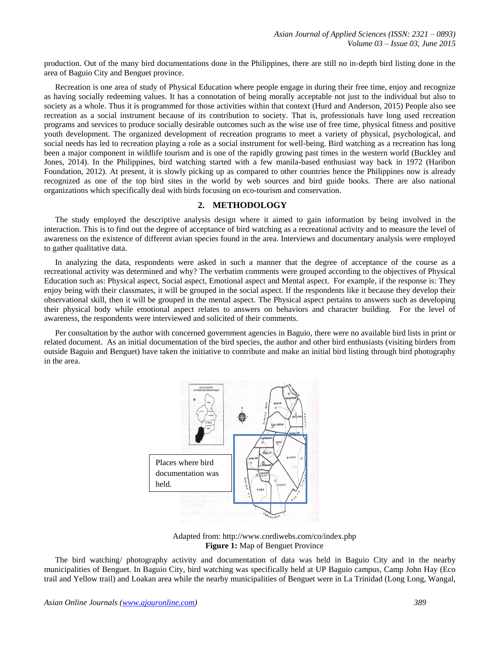production. Out of the many bird documentations done in the Philippines, there are still no in-depth bird listing done in the area of Baguio City and Benguet province.

Recreation is one area of study of Physical Education where people engage in during their free time, enjoy and recognize as having socially redeeming values. It has a connotation of being morally acceptable not just to the individual but also to society as a whole. Thus it is programmed for those activities within that context (Hurd and Anderson, 2015) People also see recreation as a social instrument because of its contribution to society. That is, professionals have long used recreation programs and services to produce socially desirable outcomes such as the wise use of free time, physical fitness and positive youth development. The organized development of recreation programs to meet a variety of physical, psychological, and social needs has led to recreation playing a role as a social instrument for well-being. Bird watching as a recreation has long been a major component in wildlife tourism and is one of the rapidly growing past times in the western world (Buckley and Jones, 2014). In the Philippines, bird watching started with a few manila-based enthusiast way back in 1972 (Haribon Foundation, 2012). At present, it is slowly picking up as compared to other countries hence the Philippines now is already recognized as one of the top bird sites in the world by web sources and bird guide books. There are also national organizations which specifically deal with birds focusing on eco-tourism and conservation.

## **2. METHODOLOGY**

The study employed the descriptive analysis design where it aimed to gain information by being involved in the interaction. This is to find out the degree of acceptance of bird watching as a recreational activity and to measure the level of awareness on the existence of different avian species found in the area. Interviews and documentary analysis were employed to gather qualitative data.

In analyzing the data, respondents were asked in such a manner that the degree of acceptance of the course as a recreational activity was determined and why? The verbatim comments were grouped according to the objectives of Physical Education such as: Physical aspect, Social aspect, Emotional aspect and Mental aspect. For example, if the response is: They enjoy being with their classmates, it will be grouped in the social aspect. If the respondents like it because they develop their observational skill, then it will be grouped in the mental aspect. The Physical aspect pertains to answers such as developing their physical body while emotional aspect relates to answers on behaviors and character building. For the level of awareness, the respondents were interviewed and solicited of their comments.

Per consultation by the author with concerned government agencies in Baguio, there were no available bird lists in print or related document. As an initial documentation of the bird species, the author and other bird enthusiasts (visiting birders from outside Baguio and Benguet) have taken the initiative to contribute and make an initial bird listing through bird photography in the area.



Adapted from[: http://www.cordiwebs.com/co/index.php](http://www.cordiwebs.com/co/index.php) **Figure 1:** Map of Benguet Province

The bird watching/ photography activity and documentation of data was held in Baguio City and in the nearby municipalities of Benguet. In Baguio City, bird watching was specifically held at UP Baguio campus, Camp John Hay (Eco trail and Yellow trail) and Loakan area while the nearby municipalities of Benguet were in La Trinidad (Long Long, Wangal,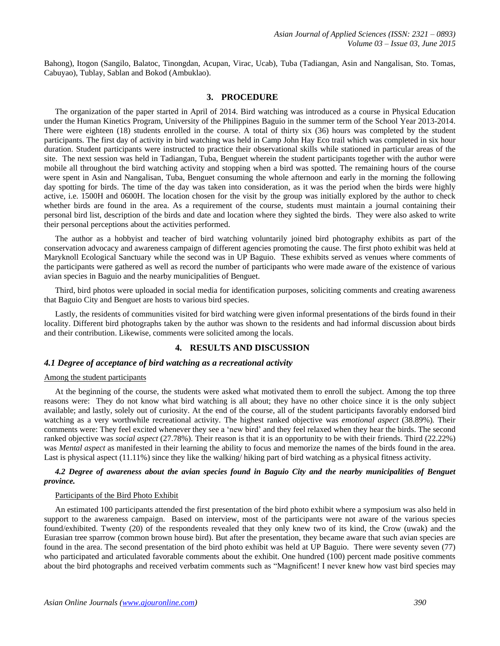Bahong), Itogon (Sangilo, Balatoc, Tinongdan, Acupan, Virac, Ucab), Tuba (Tadiangan, Asin and Nangalisan, Sto. Tomas, Cabuyao), Tublay, Sablan and Bokod (Ambuklao).

#### **3. PROCEDURE**

The organization of the paper started in April of 2014. Bird watching was introduced as a course in Physical Education under the Human Kinetics Program, University of the Philippines Baguio in the summer term of the School Year 2013-2014. There were eighteen (18) students enrolled in the course. A total of thirty six (36) hours was completed by the student participants. The first day of activity in bird watching was held in Camp John Hay Eco trail which was completed in six hour duration. Student participants were instructed to practice their observational skills while stationed in particular areas of the site. The next session was held in Tadiangan, Tuba, Benguet wherein the student participants together with the author were mobile all throughout the bird watching activity and stopping when a bird was spotted. The remaining hours of the course were spent in Asin and Nangalisan, Tuba, Benguet consuming the whole afternoon and early in the morning the following day spotting for birds. The time of the day was taken into consideration, as it was the period when the birds were highly active, i.e. 1500H and 0600H. The location chosen for the visit by the group was initially explored by the author to check whether birds are found in the area. As a requirement of the course, students must maintain a journal containing their personal bird list, description of the birds and date and location where they sighted the birds. They were also asked to write their personal perceptions about the activities performed.

The author as a hobbyist and teacher of bird watching voluntarily joined bird photography exhibits as part of the conservation advocacy and awareness campaign of different agencies promoting the cause. The first photo exhibit was held at Maryknoll Ecological Sanctuary while the second was in UP Baguio. These exhibits served as venues where comments of the participants were gathered as well as record the number of participants who were made aware of the existence of various avian species in Baguio and the nearby municipalities of Benguet.

Third, bird photos were uploaded in social media for identification purposes, soliciting comments and creating awareness that Baguio City and Benguet are hosts to various bird species.

Lastly, the residents of communities visited for bird watching were given informal presentations of the birds found in their locality. Different bird photographs taken by the author was shown to the residents and had informal discussion about birds and their contribution. Likewise, comments were solicited among the locals.

## **4. RESULTS AND DISCUSSION**

# *4.1 Degree of acceptance of bird watching as a recreational activity*

## Among the student participants

At the beginning of the course, the students were asked what motivated them to enroll the subject. Among the top three reasons were: They do not know what bird watching is all about; they have no other choice since it is the only subject available; and lastly, solely out of curiosity. At the end of the course, all of the student participants favorably endorsed bird watching as a very worthwhile recreational activity. The highest ranked objective was *emotional aspect* (38.89%)*.* Their comments were: They feel excited whenever they see a "new bird" and they feel relaxed when they hear the birds. The second ranked objective was *social aspect* (27.78%). Their reason is that it is an opportunity to be with their friends. Third (22.22%) was *Mental aspect* as manifested in their learning the ability to focus and memorize the names of the birds found in the area. Last is physical aspect (11.11%) since they like the walking/ hiking part of bird watching as a physical fitness activity.

# *4.2 Degree of awareness about the avian species found in Baguio City and the nearby municipalities of Benguet province.*

#### Participants of the Bird Photo Exhibit

An estimated 100 participants attended the first presentation of the bird photo exhibit where a symposium was also held in support to the awareness campaign. Based on interview, most of the participants were not aware of the various species found/exhibited. Twenty (20) of the respondents revealed that they only knew two of its kind, the Crow (uwak) and the Eurasian tree sparrow (common brown house bird). But after the presentation, they became aware that such avian species are found in the area. The second presentation of the bird photo exhibit was held at UP Baguio. There were seventy seven (77) who participated and articulated favorable comments about the exhibit. One hundred (100) percent made positive comments about the bird photographs and received verbatim comments such as "Magnificent! I never knew how vast bird species may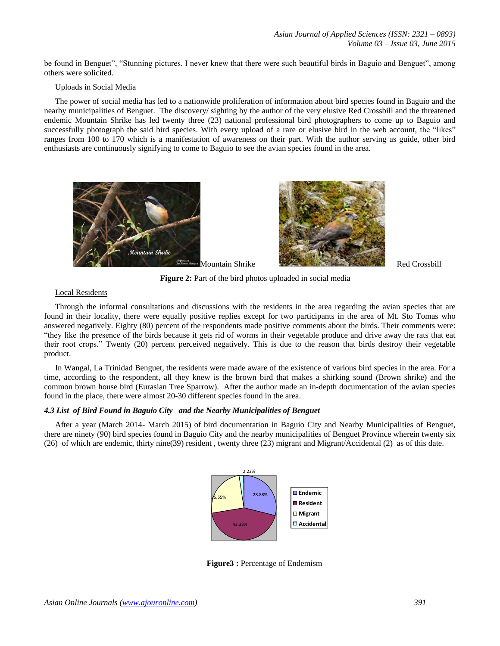be found in Benguet", "Stunning pictures. I never knew that there were such beautiful birds in Baguio and Benguet", among others were solicited.

## Uploads in Social Media

The power of social media has led to a nationwide proliferation of information about bird species found in Baguio and the nearby municipalities of Benguet. The discovery/ sighting by the author of the very elusive Red Crossbill and the threatened endemic Mountain Shrike has led twenty three (23) national professional bird photographers to come up to Baguio and successfully photograph the said bird species. With every upload of a rare or elusive bird in the web account, the "likes" ranges from 100 to 170 which is a manifestation of awareness on their part. With the author serving as guide, other bird enthusiasts are continuously signifying to come to Baguio to see the avian species found in the area.





**Figure 2:** Part of the bird photos uploaded in social media

# Local Residents

Through the informal consultations and discussions with the residents in the area regarding the avian species that are found in their locality, there were equally positive replies except for two participants in the area of Mt. Sto Tomas who answered negatively. Eighty (80) percent of the respondents made positive comments about the birds. Their comments were: "they like the presence of the birds because it gets rid of worms in their vegetable produce and drive away the rats that eat their root crops." Twenty (20) percent perceived negatively. This is due to the reason that birds destroy their vegetable product.

In Wangal, La Trinidad Benguet, the residents were made aware of the existence of various bird species in the area. For a time, according to the respondent, all they knew is the brown bird that makes a shirking sound (Brown shrike) and the common brown house bird (Eurasian Tree Sparrow). After the author made an in-depth documentation of the avian species found in the place, there were almost 20-30 different species found in the area.

# *4.3 List of Bird Found in Baguio City and the Nearby Municipalities of Benguet*

After a year (March 2014- March 2015) of bird documentation in Baguio City and Nearby Municipalities of Benguet, there are ninety (90) bird species found in Baguio City and the nearby municipalities of Benguet Province wherein twenty six (26) of which are endemic, thirty nine(39) resident , twenty three (23) migrant and Migrant/Accidental (2) as of this date.



**Figure3 :** Percentage of Endemism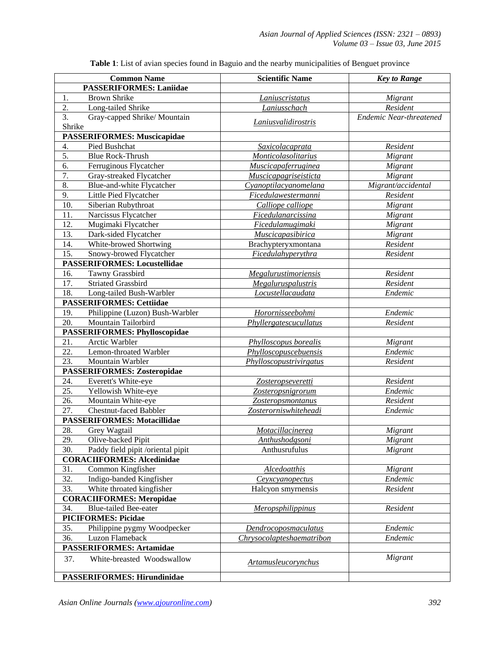| <b>Common Name</b>                                                            | <b>Scientific Name</b>                 | <b>Key to Range</b>     |
|-------------------------------------------------------------------------------|----------------------------------------|-------------------------|
| <b>PASSERIFORMES: Laniidae</b>                                                |                                        |                         |
| <b>Brown Shrike</b><br>1.                                                     | Laniuscristatus                        | Migrant                 |
| 2.<br>Long-tailed Shrike                                                      | Laniusschach                           | Resident                |
| 3.<br>Gray-capped Shrike/Mountain                                             | Laniusvalidirostris                    | Endemic Near-threatened |
| Shrike                                                                        |                                        |                         |
| <b>PASSERIFORMES: Muscicapidae</b>                                            |                                        |                         |
| Pied Bushchat<br>4.                                                           | Saxicolacaprata                        | Resident                |
| 5.<br><b>Blue Rock-Thrush</b>                                                 | Monticolasolitarius                    | Migrant                 |
| $\overline{6}$ .<br>Ferruginous Flycatcher                                    | Muscicapaferruginea                    | Migrant                 |
| 7.<br>Gray-streaked Flycatcher                                                | Muscicapagriseisticta                  | Migrant                 |
| 8.<br>Blue-and-white Flycatcher                                               | Cyanoptilacyanomelana                  | Migrant/accidental      |
| 9.<br>Little Pied Flycatcher                                                  | <b>Ficedulawestermanni</b>             | Resident                |
| 10.<br>Siberian Rubythroat                                                    | Calliope calliope                      | Migrant                 |
| 11.<br>Narcissus Flycatcher                                                   | <b>Ficedulanarcissina</b>              | Migrant                 |
| 12.<br>Mugimaki Flycatcher                                                    | <b>Ficedulamugimaki</b>                | Migrant                 |
| 13.<br>Dark-sided Flycatcher                                                  | Muscicapasibirica                      | Migrant                 |
| $\overline{14}$ .<br>White-browed Shortwing                                   | Brachypteryxmontana                    | Resident                |
| 15.<br>Snowy-browed Flycatcher                                                | Ficedulahyperythra                     | Resident                |
| <b>PASSERIFORMES: Locustellidae</b>                                           |                                        |                         |
| 16.<br>Tawny Grassbird                                                        | Megalurustimoriensis                   | Resident                |
| 17.<br><b>Striated Grassbird</b>                                              | <b>Megaluruspalustris</b>              | Resident                |
| 18.<br>Long-tailed Bush-Warbler                                               | Locustellacaudata                      | Endemic                 |
| <b>PASSERIFORMES: Cettiidae</b>                                               |                                        |                         |
| 19.<br>Philippine (Luzon) Bush-Warbler                                        | Horornisseebohmi                       | Endemic                 |
| 20.<br>Mountain Tailorbird                                                    | Phyllergatescucullatus                 | Resident                |
| <b>PASSERIFORMES: Phylloscopidae</b>                                          |                                        |                         |
| 21.<br>Arctic Warbler                                                         | Phylloscopus borealis                  | Migrant                 |
| 22.<br>Lemon-throated Warbler                                                 | Phylloscopuscebuensis                  | Endemic                 |
| 23.<br>Mountain Warbler                                                       | Phylloscopustrivirgatus                | Resident                |
| <b>PASSERIFORMES: Zosteropidae</b>                                            |                                        |                         |
| 24.<br>Everett's White-eye                                                    | Zosteropseveretti                      | Resident                |
| 25.<br>Yellowish White-eye                                                    | Zosteropsnigrorum                      | Endemic                 |
| 26.<br>Mountain White-eye                                                     | Zosteropsmontanus                      | Resident                |
| 27.<br>Chestnut-faced Babbler                                                 | Zosterorniswhiteheadi                  | Endemic                 |
| <b>PASSERIFORMES: Motacillidae</b>                                            |                                        |                         |
| 28.<br>Grey Wagtail                                                           | <b>Motacillacinerea</b>                | Migrant                 |
| Olive-backed Pipit<br>29.                                                     | <b>Anthushodgsoni</b><br>Anthusrufulus | Migrant                 |
| 30.<br>Paddy field pipit /oriental pipit<br><b>CORACIIFORMES: Alcedinidae</b> |                                        | Migrant                 |
|                                                                               |                                        |                         |
| 31.<br>Common Kingfisher<br>32.<br>Indigo-banded Kingfisher                   | <b>Alcedoatthis</b>                    | Migrant<br>Endemic      |
| 33.<br>White throated kingfisher                                              | Ceyxcyanopectus<br>Halcyon smyrnensis  | Resident                |
| <b>CORACIIFORMES: Meropidae</b>                                               |                                        |                         |
| 34.<br><b>Blue-tailed Bee-eater</b>                                           | Meropsphilippinus                      | Resident                |
| <b>PICIFORMES: Picidae</b>                                                    |                                        |                         |
| 35.<br>Philippine pygmy Woodpecker                                            | Dendrocoposmaculatus                   | Endemic                 |
| Luzon Flameback<br>36.                                                        | Chrysocolapteshaematribon              | Endemic                 |
| <b>PASSERIFORMES: Artamidae</b>                                               |                                        |                         |
| 37.<br>White-breasted Woodswallow                                             | Artamusleucorynchus                    | Migrant                 |
| <b>PASSERIFORMES: Hirundinidae</b>                                            |                                        |                         |
|                                                                               |                                        |                         |

**Table 1**: List of avian species found in Baguio and the nearby municipalities of Benguet province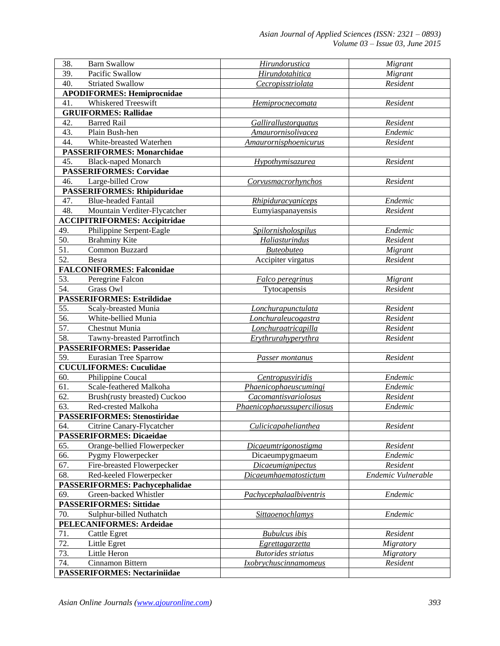| 38.<br><b>Barn Swallow</b>                                          | Hirundorustica                          | Migrant            |
|---------------------------------------------------------------------|-----------------------------------------|--------------------|
| 39.<br>Pacific Swallow                                              | <b>Hirundotahitica</b>                  | Migrant            |
| 40.<br>Striated Swallow                                             | Cecropisstriolata                       | Resident           |
| <b>APODIFORMES: Hemiprocnidae</b>                                   |                                         |                    |
| 41.<br>Whiskered Treeswift                                          | Hemiprocnecomata                        | Resident           |
| <b>GRUIFORMES: Rallidae</b>                                         |                                         |                    |
| 42.<br><b>Barred Rail</b>                                           | <b>Gallirallustorquatus</b>             | Resident           |
| 43.<br>Plain Bush-hen                                               | <b>Amaurornisolivacea</b>               | Endemic            |
| 44.<br>White-breasted Waterhen                                      | Amaurornisphoenicurus                   | Resident           |
| <b>PASSERIFORMES: Monarchidae</b>                                   |                                         |                    |
| 45.<br><b>Black-naped Monarch</b>                                   | Hypothymisazurea                        | Resident           |
| <b>PASSERIFORMES: Corvidae</b>                                      |                                         |                    |
| 46.<br>Large-billed Crow                                            | Corvusmacrorhynchos                     | Resident           |
| PASSERIFORMES: Rhipiduridae                                         |                                         |                    |
| <b>Blue-headed Fantail</b><br>47.                                   | <i>Rhipiduracyaniceps</i>               | Endemic            |
| 48.<br>Mountain Verditer-Flycatcher                                 | Eumyiaspanayensis                       | Resident           |
| <b>ACCIPITRIFORMES: Accipitridae</b>                                |                                         |                    |
| 49.<br>Philippine Serpent-Eagle                                     | <b>Spilornisholospilus</b>              | Endemic            |
| $\overline{50}$ .<br><b>Brahminy Kite</b>                           | Haliasturindus                          | Resident           |
| $\overline{51}$ .<br>Common Buzzard                                 | <b>Buteobuteo</b>                       | Migrant            |
| $\overline{52}$ .<br>Besra                                          | Accipiter virgatus                      | Resident           |
| <b>FALCONIFORMES: Falconidae</b>                                    |                                         |                    |
| 53.<br>Peregrine Falcon                                             | Falco peregrinus                        | Migrant            |
| 54.<br><b>Grass Owl</b>                                             | Tytocapensis                            | Resident           |
| <b>PASSERIFORMES: Estrildidae</b>                                   |                                         |                    |
| 55.<br>Scaly-breasted Munia                                         | Lonchurapunctulata                      | Resident           |
| 56.<br>White-bellied Munia                                          | Lonchuraleucogastra                     | Resident           |
| 57.<br><b>Chestnut Munia</b>                                        | Lonchuraatricapilla                     | Resident           |
| 58.<br>Tawny-breasted Parrotfinch                                   | <b>Erythrurahyperythra</b>              | Resident           |
| <b>PASSERIFORMES: Passeridae</b>                                    |                                         |                    |
| 59.<br><b>Eurasian Tree Sparrow</b>                                 | Passer montanus                         | Resident           |
| <b>CUCULIFORMES: Cuculidae</b>                                      |                                         |                    |
| 60.<br>Philippine Coucal<br>Scale-feathered Malkoha                 | Centropusviridis                        | Endemic            |
| 61.                                                                 | Phaenicophaeuscumingi                   | Endemic            |
| 62.<br>Brush(rusty breasted) Cuckoo<br>$\overline{63}$ .            | Cacomantisvariolosus                    | Resident           |
| Red-crested Malkoha                                                 | Phaenicophaeussuperciliosus             | Endemic            |
| <b>PASSERIFORMES: Stenostiridae</b>                                 | Culicicapahelianthea                    | Resident           |
| 64.<br>Citrine Canary-Flycatcher<br><b>PASSERIFORMES: Dicaeidae</b> |                                         |                    |
| 65.<br>Orange-bellied Flowerpecker                                  |                                         | Resident           |
| 66.<br>Pygmy Flowerpecker                                           | Dicaeumtrigonostigma<br>Dicaeumpygmaeum | Endemic            |
| 67.<br>Fire-breasted Flowerpecker                                   | <b>Dicaeumignipectus</b>                | Resident           |
| 68.<br>Red-keeled Flowerpecker                                      | Dicaeumhaematostictum                   | Endemic Vulnerable |
| <b>PASSERIFORMES: Pachycephalidae</b>                               |                                         |                    |
| 69.<br>Green-backed Whistler                                        | Pachycephalaalbiventris                 | Endemic            |
| <b>PASSERIFORMES: Sittidae</b>                                      |                                         |                    |
| 70.<br>Sulphur-billed Nuthatch                                      | Sittaoenochlamys                        | Endemic            |
| <b>PELECANIFORMES: Ardeidae</b>                                     |                                         |                    |
| 71.<br>Cattle Egret                                                 | <b>Bubulcus</b> ibis                    | Resident           |
| $\overline{72}$ .<br>Little Egret                                   | <i>Egrettagarzetta</i>                  | Migratory          |
| 73.<br>Little Heron                                                 | <b>Butorides</b> striatus               | Migratory          |
| 74.<br>Cinnamon Bittern                                             | <b>Ixobrychuscinnamomeus</b>            | Resident           |
| <b>PASSERIFORMES: Nectariniidae</b>                                 |                                         |                    |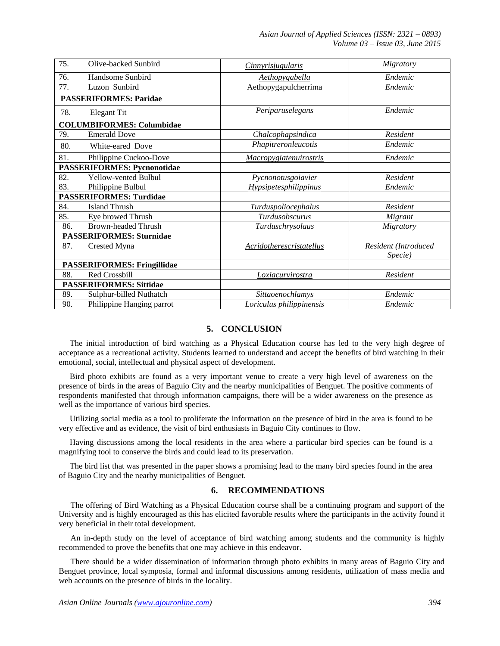*Asian Journal of Applied Sciences (ISSN: 2321 – 0893) Volume 03 – Issue 03, June 2015*

| 75. | Olive-backed Sunbird               | <i>Cinnyrisjugularis</i>     | Migratory                               |  |  |
|-----|------------------------------------|------------------------------|-----------------------------------------|--|--|
| 76. | Handsome Sunbird                   | Aethopygabella               | Endemic                                 |  |  |
| 77. | Luzon Sunbird                      | Aethopygapulcherrima         | Endemic                                 |  |  |
|     | <b>PASSERIFORMES: Paridae</b>      |                              |                                         |  |  |
| 78. | Elegant Tit                        | Periparuselegans             | Endemic                                 |  |  |
|     | <b>COLUMBIFORMES: Columbidae</b>   |                              |                                         |  |  |
| 79. | <b>Emerald Dove</b>                | Chalcophapsindica            | Resident                                |  |  |
| 80. | White-eared Dove                   | Phapitreronleucotis          | Endemic                                 |  |  |
| 81. | Philippine Cuckoo-Dove             | Macropygiatenuirostris       | Endemic                                 |  |  |
|     | <b>PASSERIFORMES: Pycnonotidae</b> |                              |                                         |  |  |
| 82. | Yellow-vented Bulbul               | Pycnonotusgoiavier           | Resident                                |  |  |
| 83. | Philippine Bulbul                  | <i>Hypsipetesphilippinus</i> | Endemic                                 |  |  |
|     | <b>PASSERIFORMES: Turdidae</b>     |                              |                                         |  |  |
| 84. | Island Thrush                      | Turduspoliocephalus          | Resident                                |  |  |
| 85. | Eye browed Thrush                  | Turdusobscurus               | Migrant                                 |  |  |
| 86. | Brown-headed Thrush                | Turduschrysolaus             | Migratory                               |  |  |
|     | <b>PASSERIFORMES: Sturnidae</b>    |                              |                                         |  |  |
| 87. | Crested Myna                       | Acridotherescristatellus     | Resident (Introduced<br><i>Specie</i> ) |  |  |
|     | <b>PASSERIFORMES: Fringillidae</b> |                              |                                         |  |  |
| 88. | Red Crossbill                      | Loxiacurvirostra             | Resident                                |  |  |
|     | <b>PASSERIFORMES: Sittidae</b>     |                              |                                         |  |  |
| 89. | Sulphur-billed Nuthatch            | Sittaoenochlamys             | Endemic                                 |  |  |
| 90. | Philippine Hanging parrot          | Loriculus philippinensis     | Endemic                                 |  |  |

# **5. CONCLUSION**

The initial introduction of bird watching as a Physical Education course has led to the very high degree of acceptance as a recreational activity. Students learned to understand and accept the benefits of bird watching in their emotional, social, intellectual and physical aspect of development.

Bird photo exhibits are found as a very important venue to create a very high level of awareness on the presence of birds in the areas of Baguio City and the nearby municipalities of Benguet. The positive comments of respondents manifested that through information campaigns, there will be a wider awareness on the presence as well as the importance of various bird species.

Utilizing social media as a tool to proliferate the information on the presence of bird in the area is found to be very effective and as evidence, the visit of bird enthusiasts in Baguio City continues to flow.

Having discussions among the local residents in the area where a particular bird species can be found is a magnifying tool to conserve the birds and could lead to its preservation.

The bird list that was presented in the paper shows a promising lead to the many bird species found in the area of Baguio City and the nearby municipalities of Benguet.

## **6. RECOMMENDATIONS**

The offering of Bird Watching as a Physical Education course shall be a continuing program and support of the University and is highly encouraged as this has elicited favorable results where the participants in the activity found it very beneficial in their total development.

An in-depth study on the level of acceptance of bird watching among students and the community is highly recommended to prove the benefits that one may achieve in this endeavor.

There should be a wider dissemination of information through photo exhibits in many areas of Baguio City and Benguet province, local symposia, formal and informal discussions among residents, utilization of mass media and web accounts on the presence of birds in the locality.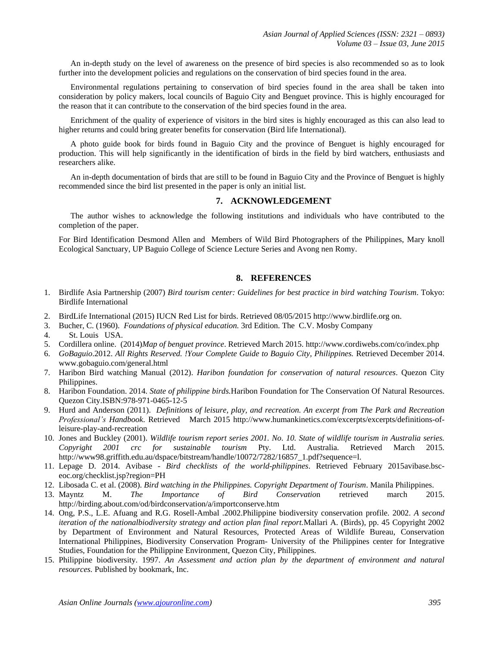An in-depth study on the level of awareness on the presence of bird species is also recommended so as to look further into the development policies and regulations on the conservation of bird species found in the area.

Environmental regulations pertaining to conservation of bird species found in the area shall be taken into consideration by policy makers, local councils of Baguio City and Benguet province. This is highly encouraged for the reason that it can contribute to the conservation of the bird species found in the area.

Enrichment of the quality of experience of visitors in the bird sites is highly encouraged as this can also lead to higher returns and could bring greater benefits for conservation (Bird life International).

A photo guide book for birds found in Baguio City and the province of Benguet is highly encouraged for production. This will help significantly in the identification of birds in the field by bird watchers, enthusiasts and researchers alike.

An in-depth documentation of birds that are still to be found in Baguio City and the Province of Benguet is highly recommended since the bird list presented in the paper is only an initial list.

## **7. ACKNOWLEDGEMENT**

The author wishes to acknowledge the following institutions and individuals who have contributed to the completion of the paper.

For Bird Identification Desmond Allen and Members of Wild Bird Photographers of the Philippines, Mary knoll Ecological Sanctuary, UP Baguio College of Science Lecture Series and Avong nen Romy.

## **8. REFERENCES**

- 1. Birdlife Asia Partnership (2007) *Bird tourism center: Guidelines for best practice in bird watching Tourism*. Tokyo: Birdlife International
- 2. BirdLife International (2015) IUCN Red List for birds. Retrieved 08/05/2015 http://www.birdlife.org on.
- 3. Bucher, C. (1960). *Foundations of physical education.* 3rd Edition. The C.V. Mosby Company
- 4. St. Louis USA.
- 5. Cordillera online. (2014)*Map of benguet province*. Retrieved March 2015[. http://www.cordiwebs.com/co/index.php](http://www.cordiwebs.com/co/index.php)
- 6. *GoBaguio*.2012. *All Rights Reserved. !Your Complete Guide to Baguio City, Philippines.* Retrieved December 2014. www.gobaguio.com/general.html
- 7. Haribon Bird watching Manual (2012). *Haribon foundation for conservation of natural resources*. Quezon City Philippines.
- 8. Haribon Foundation. 2014. *State of philippine birds.*Haribon Foundation for The Conservation Of Natural Resources. Quezon City.ISBN:978-971-0465-12-5
- 9. Hurd and Anderson (2011). *Definitions of leisure, play, and recreation. An excerpt from The Park and Recreation Professional's Handbook*. Retrieved March 2015 http://www.humankinetics.com/excerpts/excerpts/definitions-ofleisure-play-and-recreation
- 10. Jones and Buckley (2001). *Wildlife tourism report series 2001. No. 10. State of wildlife tourism in Australia series. Copyright 2001 crc for sustainable tourism* Pty. Ltd. Australia. Retrieved March 2015. http://www98.griffith.edu.au/dspace/bitstream/handle/10072/7282/16857\_1.pdf?sequence=l.
- 11. Lepage D. 2014. Avibase *Bird checklists of the world-philippines*. Retrieved February 2015avibase.bsceoc.org/checklist.jsp?region=PH
- 12. Libosada C. et al. (2008). *Bird watching in the Philippines. Copyright Department of Tourism*. Manila Philippines.
- 13. Mayntz M. *The Importance of Bird Conservatio*n retrieved march 2015. http://birding.about.com/od/birdconservation/a/importconserve.htm
- 14. Ong, P.S., L.E. Afuang and R.G. Rosell-Ambal .2002.Philippine biodiversity conservation profile. 2002. *A second iteration of the nationalbiodiversity strategy and action plan final report.*Mallari A. (Birds), pp. 45 Copyright 2002 by Department of Environment and Natural Resources, Protected Areas of Wildlife Bureau, Conservation International Philippines, Biodiversity Conservation Program- University of the Philippines center for Integrative Studies, Foundation for the Philippine Environment, Quezon City, Philippines.
- 15. Philippine biodiversity. 1997. *An Assessment and action plan by the department of environment and natural resources.* Published by bookmark, Inc.